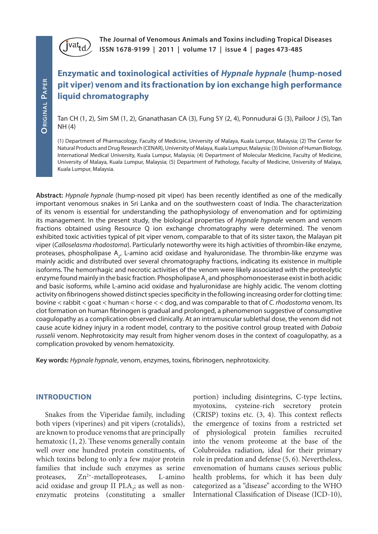

**The Journal of Venomous Animals and Toxins including Tropical Diseases ISSN 1678-9199 | 2011 | volume 17 | issue 4 | pages 473-485**

# **Enzymatic and toxinological activities of** *Hypnale hypnale* **(hump-nosed pit viper) venom and its fractionation by ion exchange high performance liquid chromatography**

Tan CH (1, 2), Sim SM (1, 2), Gnanathasan CA (3), Fung SY (2, 4), Ponnudurai G (3), Pailoor J (5), Tan NH (4)

(1) Department of Pharmacology, Faculty of Medicine, University of Malaya, Kuala Lumpur, Malaysia; (2) The Center for Natural Products and Drug Research (CENAR), University of Malaya, Kuala Lumpur, Malaysia; (3) Division of Human Biology, International Medical University, Kuala Lumpur, Malaysia; (4) Department of Molecular Medicine, Faculty of Medicine, University of Malaya, Kuala Lumpur, Malaysia; (5) Department of Pathology, Faculty of Medicine, University of Malaya, Kuala Lumpur, Malaysia.

**Abstract:** *Hypnale hypnale* (hump-nosed pit viper) has been recently identified as one of the medically important venomous snakes in Sri Lanka and on the southwestern coast of India. The characterization of its venom is essential for understanding the pathophysiology of envenomation and for optimizing its management. In the present study, the biological properties of *Hypnale hypnale* venom and venom fractions obtained using Resource Q ion exchange chromatography were determined. The venom exhibited toxic activities typical of pit viper venom, comparable to that of its sister taxon, the Malayan pit viper (*Calloselasma rhodostoma*). Particularly noteworthy were its high activities of thrombin-like enzyme, proteases, phospholipase  $A_{2'}$  L-amino acid oxidase and hyaluronidase. The thrombin-like enzyme was mainly acidic and distributed over several chromatography fractions, indicating its existence in multiple isoforms. The hemorrhagic and necrotic activities of the venom were likely associated with the proteolytic enzyme found mainly in the basic fraction. Phospholipase  $\mathsf{A}_2$  and phosphomonoesterase exist in both acidic and basic isoforms, while L-amino acid oxidase and hyaluronidase are highly acidic. The venom clotting activity on fibrinogens showed distinct species specificity in the following increasing order for clotting time: bovine < rabbit < goat < human < horse < < dog, and was comparable to that of *C. rhodostoma* venom. Its clot formation on human fibrinogen is gradual and prolonged, a phenomenon suggestive of consumptive coagulopathy as a complication observed clinically. At an intramuscular sublethal dose, the venom did not cause acute kidney injury in a rodent model, contrary to the positive control group treated with *Daboia russelii* venom. Nephrotoxicity may result from higher venom doses in the context of coagulopathy, as a complication provoked by venom hematoxicity.

**Key words:** *Hypnale hypnale*, venom, enzymes, toxins, fibrinogen, nephrotoxicity.

#### **INTRODUCTION**

Snakes from the Viperidae family, including both vipers (viperines) and pit vipers (crotalids), are known to produce venoms that are principally hematoxic (1, 2). These venoms generally contain well over one hundred protein constituents, of which toxins belong to only a few major protein families that include such enzymes as serine proteases,  $Zn^{2+}$ -metalloproteases, L-amino acid oxidase and group II  $PLA_2$ ; as well as nonenzymatic proteins (constituting a smaller portion) including disintegrins, C-type lectins, myotoxins, cysteine-rich secretory protein (CRISP) toxins etc. (3, 4). This context reflects the emergence of toxins from a restricted set of physiological protein families recruited into the venom proteome at the base of the Colubroidea radiation, ideal for their primary role in predation and defense (5, 6). Nevertheless, envenomation of humans causes serious public health problems, for which it has been duly categorized as a "disease" according to the WHO International Classification of Disease (ICD-10),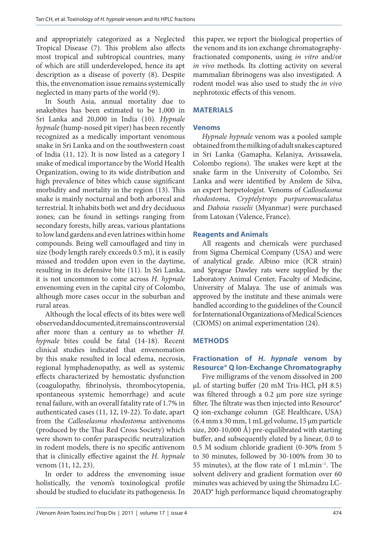and appropriately categorized as a Neglected Tropical Disease (7). This problem also affects most tropical and subtropical countries, many of which are still underdeveloped, hence its apt description as a disease of poverty (8). Despite this, the envenomation issue remains systemically neglected in many parts of the world (9).

In South Asia, annual mortality due to snakebites has been estimated to be 1,000 in Sri Lanka and 20,000 in India (10). *Hypnale hypnale* (hump-nosed pit viper) has been recently recognized as a medically important venomous snake in Sri Lanka and on the southwestern coast of India (11, 12). It is now listed as a category I snake of medical importance by the World Health Organization, owing to its wide distribution and high prevalence of bites which cause significant morbidity and mortality in the region (13). This snake is mainly nocturnal and both arboreal and terrestrial. It inhabits both wet and dry deciduous zones; can be found in settings ranging from secondary forests, hilly areas, various plantations to low land gardens and even latrines within home compounds. Being well camouflaged and tiny in size (body length rarely exceeds 0.5 m), it is easily missed and trodden upon even in the daytime, resulting in its defensive bite (11). In Sri Lanka, it is not uncommon to come across *H. hypnale* envenoming even in the capital city of Colombo, although more cases occur in the suburban and rural areas.

Although the local effects of its bites were well observed and documented, it remains controversial after more than a century as to whether *H. hypnale* bites could be fatal (14-18). Recent clinical studies indicated that envenomation by this snake resulted in local edema, necrosis, regional lymphadenopathy, as well as systemic effects characterized by hemostatic dysfunction (coagulopathy, fibrinolysis, thrombocytopenia, spontaneous systemic hemorrhage) and acute renal failure, with an overall fatality rate of 1.7% in authenticated cases (11, 12, 19-22). To date, apart from the *Calloselasma rhodostoma* antivenoms (produced by the Thai Red Cross Society) which were shown to confer paraspecific neutralization in rodent models, there is no specific antivenom that is clinically effective against the *H. hypnale* venom (11, 12, 23).

In order to address the envenoming issue holistically, the venom's toxinological profile should be studied to elucidate its pathogenesis. In

this paper, we report the biological properties of the venom and its ion exchange chromatographyfractionated components, using *in vitro* and/or *in vivo* methods. Its clotting activity on several mammalian fibrinogens was also investigated. A rodent model was also used to study the *in vivo* nephrotoxic effects of this venom.

# **MATERIALS**

# **Venoms**

*Hypnale hypnale* venom was a pooled sample obtained from the milking of adult snakes captured in Sri Lanka (Gamapha, Kelaniya, Avissawela, Colombo regions). The snakes were kept at the snake farm in the University of Colombo, Sri Lanka and were identified by Anslem de Silva, an expert herpetologist. Venoms of *Calloselasma rhodostoma*, *Cryptelytrops purpureomaculatus* and *Daboia russelii* (Myanmar) were purchased from Latoxan (Valence, France).

### **Reagents and Animals**

All reagents and chemicals were purchased from Sigma Chemical Company (USA) and were of analytical grade. Albino mice (ICR strain) and Sprague Dawley rats were supplied by the Laboratory Animal Center, Faculty of Medicine, University of Malaya. The use of animals was approved by the institute and these animals were handled according to the guidelines of the Council for International Organizations of Medical Sciences (CIOMS) on animal experimentation (24).

# **METHODS**

**Fractionation of** *H. hypnale* **venom by Resource® Q Ion-Exchange Chromatography** 

Five milligrams of the venom dissolved in 200 µL of starting buffer (20 mM Tris-HCl, pH 8.5) was filtered through a 0.2 µm pore size syringe filter. The filtrate was then injected into Resource® Q ion-exchange column (GE Healthcare, USA) (6.4 mm x 30 mm, 1 mL gel volume, 15 µm particle size, 200-10,000 Å) pre-equilibrated with starting buffer, and subsequently eluted by a linear, 0.0 to 0.5 M sodium chloride gradient (0-30% from 5 to 30 minutes, followed by 30-100% from 30 to 55 minutes), at the flow rate of 1 mLmin–1. The solvent delivery and gradient formation over 60 minutes was achieved by using the Shimadzu LC-20AD® high performance liquid chromatography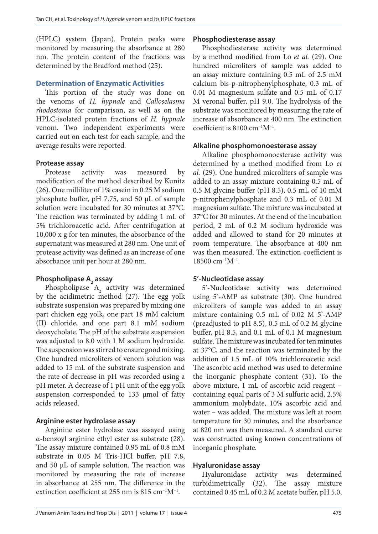(HPLC) system (Japan). Protein peaks were monitored by measuring the absorbance at 280 nm. The protein content of the fractions was determined by the Bradford method (25).

### **Determination of Enzymatic Activities**

This portion of the study was done on the venoms of *H. hypnale* and *Calloselasma rhodostoma* for comparison, as well as on the HPLC-isolated protein fractions of *H. hypnale* venom. Two independent experiments were carried out on each test for each sample, and the average results were reported.

### **Protease assay**

Protease activity was measured by modification of the method described by Kunitz (26). One milliliter of 1% casein in 0.25 M sodium phosphate buffer, pH 7.75, and 50 μL of sample solution were incubated for 30 minutes at 37°C. The reaction was terminated by adding 1 mL of 5% trichloroacetic acid. After centrifugation at 10,000 x g for ten minutes, the absorbance of the supernatant was measured at 280 nm. One unit of protease activity was defined as an increase of one absorbance unit per hour at 280 nm.

# Phospholipase A<sub>2</sub> assay

Phospholipase  $A_2$  activity was determined by the acidimetric method (27). The egg yolk substrate suspension was prepared by mixing one part chicken egg yolk, one part 18 mM calcium (II) chloride, and one part 8.1 mM sodium deoxycholate. The pH of the substrate suspension was adjusted to 8.0 with 1 M sodium hydroxide. The suspension was stirred to ensure good mixing. One hundred microliters of venom solution was added to 15 mL of the substrate suspension and the rate of decrease in pH was recorded using a pH meter. A decrease of 1 pH unit of the egg yolk suspension corresponded to 133 μmol of fatty acids released.

### **Arginine ester hydrolase assay**

Arginine ester hydrolase was assayed using α-benzoyl arginine ethyl ester as substrate (28). The assay mixture contained 0.95 mL of 0.8 mM substrate in 0.05 M Tris-HCl buffer, pH 7.8, and 50 μL of sample solution. The reaction was monitored by measuring the rate of increase in absorbance at 255 nm. The difference in the extinction coefficient at 255 nm is 815 cm<sup>-1</sup>M<sup>-1</sup>.

### **Phosphodiesterase assay**

Phosphodiesterase activity was determined by a method modified from Lo *et al.* (29). One hundred microliters of sample was added to an assay mixture containing 0.5 mL of 2.5 mM calcium bis-p-nitrophenylphosphate, 0.3 mL of 0.01 M magnesium sulfate and 0.5 mL of 0.17 M veronal buffer, pH 9.0. The hydrolysis of the substrate was monitored by measuring the rate of increase of absorbance at 400 nm. The extinction coefficient is  $8100 \text{ cm}^{-1}\text{M}^{-1}$ .

### **Alkaline phosphomonoesterase assay**

Alkaline phosphomonoesterase activity was determined by a method modified from Lo *et al.* (29). One hundred microliters of sample was added to an assay mixture containing 0.5 mL of 0.5 M glycine buffer (pH 8.5), 0.5 mL of 10 mM p-nitrophenylphosphate and 0.3 mL of 0.01 M magnesium sulfate. The mixture was incubated at 37°C for 30 minutes. At the end of the incubation period, 2 mL of 0.2 M sodium hydroxide was added and allowed to stand for 20 minutes at room temperature. The absorbance at 400 nm was then measured. The extinction coefficient is  $18500 \text{ cm}^{-1}\text{M}^{-1}$ .

### **5'-Nucleotidase assay**

5'-Nucleotidase activity was determined using 5'-AMP as substrate (30). One hundred microliters of sample was added to an assay mixture containing 0.5 mL of 0.02 M 5'-AMP (preadjusted to pH 8.5), 0.5 mL of 0.2 M glycine buffer, pH 8.5, and 0.1 mL of 0.1 M magnesium sulfate. The mixture was incubated for ten minutes at 37°C, and the reaction was terminated by the addition of 1.5 mL of 10% trichloroacetic acid. The ascorbic acid method was used to determine the inorganic phosphate content (31). To the above mixture, 1 mL of ascorbic acid reagent – containing equal parts of 3 M sulfuric acid, 2.5% ammonium molybdate, 10% ascorbic acid and water – was added. The mixture was left at room temperature for 30 minutes, and the absorbance at 820 nm was then measured. A standard curve was constructed using known concentrations of inorganic phosphate.

### **Hyaluronidase assay**

Hyaluronidase activity was determined turbidimetrically (32). The assay mixture contained 0.45 mL of 0.2 M acetate buffer, pH 5.0,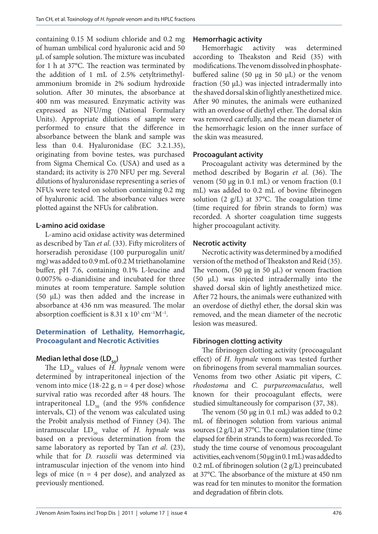containing 0.15 M sodium chloride and 0.2 mg of human umbilical cord hyaluronic acid and 50 μL of sample solution. The mixture was incubated for 1 h at 37°C. The reaction was terminated by the addition of 1 mL of 2.5% cetyltrimethylammonium bromide in 2% sodium hydroxide solution. After 30 minutes, the absorbance at 400 nm was measured. Enzymatic activity was expressed as NFU/mg (National Formulary Units). Appropriate dilutions of sample were performed to ensure that the difference in absorbance between the blank and sample was less than 0.4. Hyaluronidase (EC 3.2.1.35), originating from bovine testes, was purchased from Sigma Chemical Co. (USA) and used as a standard; its activity is 270 NFU per mg. Several dilutions of hyaluronidase representing a series of NFUs were tested on solution containing 0.2 mg of hyaluronic acid. The absorbance values were plotted against the NFUs for calibration.

### **L-amino acid oxidase**

L-amino acid oxidase activity was determined as described by Tan *et al*. (33). Fifty microliters of horseradish peroxidase (100 purpurogalin unit/ mg) was added to 0.9 mL of 0.2 M triethanolamine buffer, pH 7.6, containing 0.1% L-leucine and 0.0075% o-dianidisine and incubated for three minutes at room temperature. Sample solution (50 μL) was then added and the increase in absorbance at 436 nm was measured. The molar absorption coefficient is  $8.31 \times 10^3 \text{ cm}^{-1} \text{M}^{-1}$ .

### **Determination of Lethality, Hemorrhagic, Procoagulant and Necrotic Activities**

# **Median lethal dose (LD<sub>50</sub>)**

The  $LD_{50}$  values of *H*. *hypnale* venom were determined by intraperitoneal injection of the venom into mice (18-22 g,  $n = 4$  per dose) whose survival ratio was recorded after 48 hours. The intraperitoneal  $LD_{50}$  (and the 95% confidence intervals, CI) of the venom was calculated using the Probit analysis method of Finney (34). The intramuscular LD<sub>50</sub> value of *H. hypnale* was based on a previous determination from the same laboratory as reported by Tan *et al*. (23), while that for *D. russelii* was determined via intramuscular injection of the venom into hind legs of mice  $(n = 4$  per dose), and analyzed as previously mentioned.

## **Hemorrhagic activity**

Hemorrhagic activity was determined according to Theakston and Reid (35) with modifications. The venom dissolved in phosphatebuffered saline (50 μg in 50 μL) or the venom fraction (50 μL) was injected intradermally into the shaved dorsal skin of lightly anesthetized mice. After 90 minutes, the animals were euthanized with an overdose of diethyl ether. The dorsal skin was removed carefully, and the mean diameter of the hemorrhagic lesion on the inner surface of the skin was measured.

### **Procoagulant activity**

Procoagulant activity was determined by the method described by Bogarin *et al.* (36). The venom (50  $\mu$ g in 0.1 mL) or venom fraction (0.1) mL) was added to 0.2 mL of bovine fibrinogen solution (2  $g/L$ ) at 37°C. The coagulation time (time required for fibrin strands to form) was recorded. A shorter coagulation time suggests higher procoagulant activity.

### **Necrotic activity**

Necrotic activity was determined by a modified version of the method of Theakston and Reid (35). The venom, (50 μg in 50 μL) or venom fraction (50 µL) was injected intradermally into the shaved dorsal skin of lightly anesthetized mice. After 72 hours, the animals were euthanized with an overdose of diethyl ether, the dorsal skin was removed, and the mean diameter of the necrotic lesion was measured.

### **Fibrinogen clotting activity**

The fibrinogen clotting activity (procoagulant effect) of *H. hypnale* venom was tested further on fibrinogens from several mammalian sources. Venoms from two other Asiatic pit vipers, *C. rhodostoma* and *C. purpureomaculatus*, well known for their procoagulant effects, were studied simultaneously for comparison (37, 38).

The venom (50 µg in 0.1 mL) was added to 0.2 mL of fibrinogen solution from various animal sources (2 g/L) at 37°C. The coagulation time (time elapsed for fibrin strands to form) was recorded. To study the time course of venomous procoagulant activities, each venom (50 µg in 0.1 mL) was added to 0.2 mL of fibrinogen solution  $(2 g/L)$  preincubated at 37°C. The absorbance of the mixture at 450 nm was read for ten minutes to monitor the formation and degradation of fibrin clots.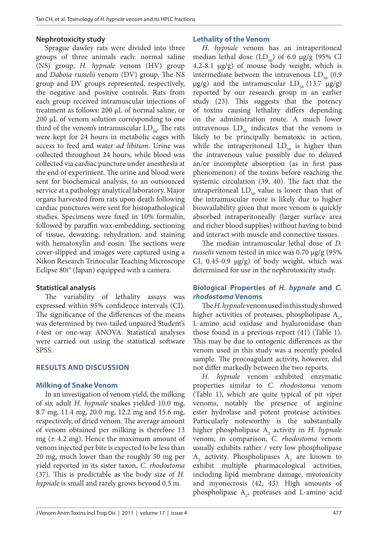#### **Nephrotoxicity study**

Sprague dawley rats were divided into three groups of three animals each: normal saline (NS) group, *H. hypnale* venom (HV) group and *Daboia russelii* venom (DV) group. The NS group and DV groups represented, respectively, the negative and positive controls. Rats from each group received intramuscular injections of treatment as follows: 200 µL of normal saline, or 200 µL of venom solution corresponding to one third of the venom's intramuscular  $LD_{50}$ . The rats were kept for 24 hours in metabolic cages with access to feed and water *ad libitum*. Urine was collected throughout 24 hours, while blood was collected via cardiac puncture under anesthesia at the end of experiment. The urine and blood were sent for biochemical analysis, to an outsourced service at a pathology analytical laboratory. Major organs harvested from rats upon death following cardiac punctures were sent for histopathological studies. Specimens were fixed in 10% formalin, followed by paraffin wax-embedding, sectioning of tissue, dewaxing, rehydration, and staining with hematoxylin and eosin. The sections were cover-slipped and images were captured using a Nikon Research Trinocular Teaching Microscope Eclipse 80i® (Japan) equipped with a camera.

### **Statistical analysis**

The variability of lethality assays was expressed within 95% confidence intervals (CI). The significance of the differences of the means was determined by two-tailed unpaired Student's *t*-test or one-way ANOVA. Statistical analyses were carried out using the statistical software SPSS.

### **RESULTS AND DISCUSSION**

#### **Milking of Snake Venom**

In an investigation of venom yield, the milking of six adult *H. hypnale* snakes yielded 10.0 mg, 8.7 mg, 11.4 mg, 20.0 mg, 12.2 mg and 15.6 mg, respectively, of dried venom. The average amount of venom obtained per milking is therefore 13 mg  $(\pm 4.2 \text{ mg})$ . Hence the maximum amount of venom injected per bite is expected to be less than 20 mg, much lower than the roughly 50 mg per yield reported in its sister taxon, *C. rhodostoma* (37). This is predictable as the body size *of H. hypnale* is small and rarely grows beyond 0.5 m.

#### **Lethality of the Venom**

*H. hypnale* venom has an intraperitoneal median lethal dose  $(LD_{50})$  of 6.0  $\mu$ g/g (95% CI 4.2-8.1 µg/g) of mouse body weight, which is intermediate between the intravenous  $LD_{50}$  (0.9  $\mu$ g/g) and the intramuscular LD<sub>50</sub> (13.7  $\mu$ g/g) reported by our research group in an earlier study (23). This suggests that the potency of toxins causing lethality differs depending on the administration route. A much lower intravenous  $LD_{50}$  indicates that the venom is likely to be principally hematoxic in action, while the intraperitoneal  $LD_{50}$  is higher than the intravenous value possibly due to delayed an/or incomplete absorption (as in first pass phenomenon) of the toxins before reaching the systemic circulation (39, 40). The fact that the intraperitoneal  $LD_{50}$  value is lower than that of the intramuscular route is likely due to higher bioavailability given that more venom is quickly absorbed intraperitoneally (larger surface area and richer blood supplies) without having to bind and interact with muscle and connective tissues.

The median intramuscular lethal dose of *D. russelii* venom tested in mice was 0.70 µg/g (95% CI,  $0.45-0.9 \mu g/g$  of body weight, which was determined for use in the nephrotoxicity study.

### **Biological Properties of** *H. hypnale* **and** *C. rhodostoma* **Venoms**

The *H. hypnale* venom used in this study showed higher activities of proteases, phospholipase  $A_2$ , L-amino acid oxidase and hyaluronidase than those found in a previous report (41) (Table 1). This may be due to ontogenic differences as the venom used in this study was a recently pooled sample. The procoagulant activity, however, did not differ markedly between the two reports.

*H. hypnale* venom exhibited enzymatic properties similar to *C. rhodostoma* venom (Table 1), which are quite typical of pit viper venoms, notably the presence of arginine ester hydrolase and potent protease activities. Particularly noteworthy is the substantially higher phospholipase A<sub>2</sub> activity in *H. hypnale* venom; in comparison, *C. rhodostoma* venom usually exhibits rather / very low phospholipase  $A_2$  activity. Phospholipases  $A_2$  are known to exhibit multiple pharmacological activities, including lipid membrane damage, myotoxicity and myonecrosis (42, 43). High amounts of phospholipase  $A_2$ , proteases and L-amino acid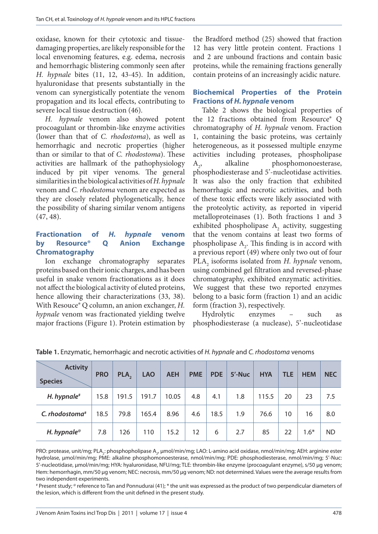oxidase, known for their cytotoxic and tissuedamaging properties, are likely responsible for the local envenoming features, e.g. edema, necrosis and hemorrhagic blistering commonly seen after *H. hypnale* bites (11, 12, 43-45). In addition, hyaluronidase that presents substantially in the venom can synergistically potentiate the venom propagation and its local effects, contributing to severe local tissue destruction (46).

*H. hypnale* venom also showed potent procoagulant or thrombin-like enzyme activities (lower than that of *C. rhodostoma*), as well as hemorrhagic and necrotic properties (higher than or similar to that of *C. rhodostoma*). These activities are hallmark of the pathophysiology induced by pit viper venoms. The general similarities in the biological activities of *H. hypnale* venom and *C. rhodostoma* venom are expected as they are closely related phylogenetically, hence the possibility of sharing similar venom antigens (47, 48).

### **Fractionation of** *H. hypnale* **venom by Resource® Q Anion Exchange Chromatography**

Ion exchange chromatography separates proteins based on their ionic charges, and has been useful in snake venom fractionations as it does not affect the biological activity of eluted proteins, hence allowing their characterizations (33, 38). With Resouce® Q column, an anion exchanger, *H. hypnale* venom was fractionated yielding twelve major fractions (Figure 1). Protein estimation by the Bradford method (25) showed that fraction 12 has very little protein content. Fractions 1 and 2 are unbound fractions and contain basic proteins, while the remaining fractions generally contain proteins of an increasingly acidic nature.

### **Biochemical Properties of the Protein Fractions of** *H. hypnale* **venom**

Table 2 shows the biological properties of the 12 fractions obtained from Resource® Q chromatography of *H. hypnale* venom. Fraction 1, containing the basic proteins, was certainly heterogeneous, as it possessed multiple enzyme activities including proteases, phospholipase  $A_{\alpha}$ , alkaline phosphomonoesterase, phosphodiesterase and 5'-nucleotidase activities. It was also the only fraction that exhibited hemorrhagic and necrotic activities, and both of these toxic effects were likely associated with the proteolytic activity, as reported in viperid metalloproteinases (1). Both fractions 1 and 3 exhibited phospholipase  $A_2$  activity, suggesting that the venom contains at least two forms of phospholipase  $A_2$ . This finding is in accord with a previous report (49) where only two out of four PLA<sub>2</sub> isoforms isolated from *H. hypnale* venom, using combined gel filtration and reversed-phase chromatography, exhibited enzymatic activities. We suggest that these two reported enzymes belong to a basic form (fraction 1) and an acidic form (fraction 3), respectively.

Hydrolytic enzymes – such as phosphodiesterase (a nuclease), 5'-nucleotidase

| <b>Activity</b><br><b>Species</b> | <b>PRO</b> | PLA <sub>2</sub> | <b>LAO</b> | <b>AEH</b> | <b>PME</b> | <b>PDE</b> | 5'-Nuc | <b>HYA</b> | <b>TLE</b> | <b>HEM</b> | <b>NEC</b> |
|-----------------------------------|------------|------------------|------------|------------|------------|------------|--------|------------|------------|------------|------------|
| $H.$ hypnale $*$                  | 15.8       | 191.5            | 191.7      | 10.05      | 4.8        | 4.1        | 1.8    | 115.5      | 20         | 23         | 7.5        |
| C. rhodostoma $*$                 | 18.5       | 79.8             | 165.4      | 8.96       | 4.6        | 18.5       | 1.9    | 76.6       | 10         | 16         | 8.0        |
| H. hypnale <sup>®</sup>           | 7.8        | 126              | 110        | 15.2       | 12         | 6          | 2.7    | 85         | 22         | $1.6*$     | <b>ND</b>  |

**Table 1.** Enzymatic, hemorrhagic and necrotic activities of *H. hypnale* and *C. rhodostoma* venoms

PRO: protease, unit/mg; PLA<sub>2</sub>: phosphopholipase A<sub>2</sub>, µmol/min/mg; LAO: L-amino acid oxidase, nmol/min/mg; AEH: arginine ester hydrolase, µmol/min/mg; PME: alkaline phosphomonoesterase, nmol/min/mg; PDE: phosphodiesterase, nmol/min/mg; 5'-Nuc: 5'-nucleotidase, µmol/min/mg; HYA: hyaluronidase, NFU/mg; TLE: thrombin-like enzyme (procoagulant enzyme), s/50 µg venom; Hem: hemorrhagin, mm/50 µg venom; NEC: necrosis, mm/50 µg venom; ND: not determined. Values were the average results from two independent experiments.

 $^*$  Present study;  $^{\circ}$  reference to Tan and Ponnudurai (41);  $^*$  the unit was expressed as the product of two perpendicular diameters of the lesion, which is different from the unit defined in the present study.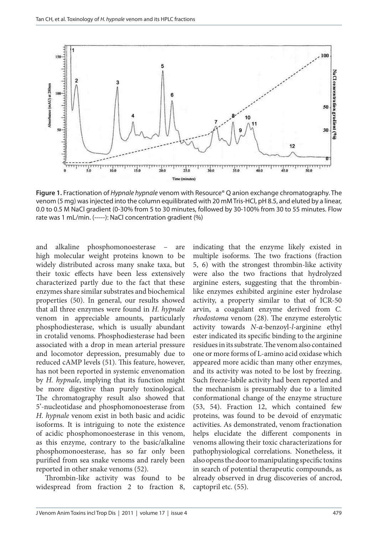

**Figure 1.** Fractionation of *Hypnale hypnale* venom with Resource® Q anion exchange chromatography. The venom (5 mg) was injected into the column equilibrated with 20 mM Tris-HCl, pH 8.5, and eluted by a linear, 0.0 to 0.5 M NaCl gradient (0-30% from 5 to 30 minutes, followed by 30-100% from 30 to 55 minutes. Flow rate was 1 mL/min. (-----): NaCl concentration gradient (%)

and alkaline phosphomonoesterase – are high molecular weight proteins known to be widely distributed across many snake taxa, but their toxic effects have been less extensively characterized partly due to the fact that these enzymes share similar substrates and biochemical properties (50). In general, our results showed that all three enzymes were found in *H. hypnale* venom in appreciable amounts, particularly phosphodiesterase, which is usually abundant in crotalid venoms. Phosphodiesterase had been associated with a drop in mean arterial pressure and locomotor depression, presumably due to reduced cAMP levels (51). This feature, however, has not been reported in systemic envenomation by *H. hypnale*, implying that its function might be more digestive than purely toxinological. The chromatography result also showed that 5'-nucleotidase and phosphomonoesterase from *H. hypnale* venom exist in both basic and acidic isoforms. It is intriguing to note the existence of acidic phosphomonoesterase in this venom, as this enzyme, contrary to the basic/alkaline phosphomonoesterase, has so far only been purified from sea snake venoms and rarely been reported in other snake venoms (52).

Thrombin-like activity was found to be widespread from fraction 2 to fraction 8,

indicating that the enzyme likely existed in multiple isoforms. The two fractions (fraction 5, 6) with the strongest thrombin-like activity were also the two fractions that hydrolyzed arginine esters, suggesting that the thrombinlike enzymes exhibited arginine ester hydrolase activity, a property similar to that of ICR-50 arvin, a coagulant enzyme derived from *C. rhodostoma* venom (28). The enzyme esterolytic activity towards *N-α-*benzoyl*-l-*arginine ethyl ester indicated its specific binding to the arginine residues in its substrate. The venom also contained one or more forms of L-amino acid oxidase which appeared more acidic than many other enzymes, and its activity was noted to be lost by freezing. Such freeze-labile activity had been reported and the mechanism is presumably due to a limited conformational change of the enzyme structure (53, 54). Fraction 12, which contained few proteins, was found to be devoid of enzymatic activities. As demonstrated, venom fractionation helps elucidate the different components in venoms allowing their toxic characterizations for pathophysiological correlations. Nonetheless, it also opens the door to manipulating specific toxins in search of potential therapeutic compounds, as already observed in drug discoveries of ancrod, captopril etc. (55).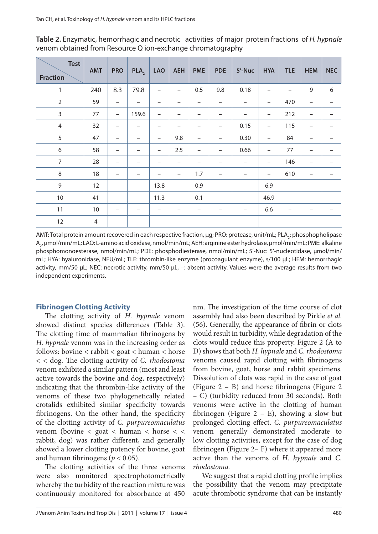| <b>Test</b><br><b>Fraction</b> | <b>AMT</b>     | <b>PRO</b> | $PLA_2$                  | <b>LAO</b>        | <b>AEH</b>               | <b>PME</b>               | <b>PDE</b>                       | 5'-Nuc                   | <b>HYA</b>               | <b>TLE</b>        | <b>HEM</b>               | <b>NEC</b> |
|--------------------------------|----------------|------------|--------------------------|-------------------|--------------------------|--------------------------|----------------------------------|--------------------------|--------------------------|-------------------|--------------------------|------------|
| 1                              | 240            | 8.3        | 79.8                     | $\qquad \qquad -$ | -                        | 0.5                      | 9.8                              | 0.18                     | $\overline{\phantom{0}}$ | -                 | 9                        | 6          |
| $\overline{2}$                 | 59             | -          |                          | -                 | -                        | $\qquad \qquad -$        | $\qquad \qquad -$                | $\qquad \qquad -$        | $\overline{\phantom{0}}$ | 470               | $\qquad \qquad -$        |            |
| $\mathsf{3}$                   | 77             | -          | 159.6                    | -                 | -                        | -                        | $\overbrace{\phantom{12322111}}$ | $\overline{\phantom{0}}$ | $\overline{\phantom{0}}$ | 212               | $\qquad \qquad -$        |            |
| 4                              | 32             |            |                          |                   |                          |                          | $\overline{\phantom{0}}$         | 0.15                     | -                        | 115               | -                        |            |
| 5                              | 47             | -          |                          | -                 | 9.8                      | -                        | $\overline{\phantom{0}}$         | 0.30                     | $\overline{\phantom{0}}$ | 84                | -                        |            |
| 6                              | 58             | -          | -                        | -                 | 2.5                      | $\overline{\phantom{0}}$ | $\overline{\phantom{0}}$         | 0.66                     | $\overline{\phantom{0}}$ | 77                | $\overline{\phantom{0}}$ |            |
| $\overline{7}$                 | 28             |            |                          |                   | -                        | -                        |                                  | $\overline{\phantom{0}}$ | $\overline{\phantom{0}}$ | 146               | $\overline{\phantom{0}}$ |            |
| $\,8\,$                        | 18             | —          |                          |                   | -                        | 1.7                      |                                  | $\qquad \qquad -$        | $\overline{\phantom{0}}$ | 610               | -                        |            |
| 9                              | 12             | -          | $\overline{\phantom{0}}$ | 13.8              | -                        | 0.9                      | $\overline{\phantom{0}}$         | $\overline{\phantom{0}}$ | 6.9                      | $\qquad \qquad -$ | -                        |            |
| 10 <sup>°</sup>                | 41             | —          | -                        | 11.3              | $\overline{\phantom{0}}$ | 0.1                      | $\qquad \qquad -$                | $\overline{\phantom{0}}$ | 46.9                     | —                 | -                        |            |
| $11$                           | $10\,$         | -          |                          | -                 |                          | -                        | -                                | $\overline{\phantom{0}}$ | 6.6                      | -                 |                          |            |
| 12                             | $\overline{4}$ | —          |                          | -                 |                          | -                        |                                  | -                        | $\overline{\phantom{m}}$ | -                 | -                        |            |

**Table 2.** Enzymatic, hemorrhagic and necrotic activities of major protein fractions of *H. hypnale* venom obtained from Resource Q ion-exchange chromatography

AMT: Total protein amount recovered in each respective fraction, µg; PRO: protease, unit/mL; PLA<sub>2</sub>: phosphopholipase A<sub>2</sub>, µmol/min/mL; LAO: L-amino acid oxidase, nmol/min/mL; AEH: arginine ester hydrolase, µmol/min/mL; PME: alkaline phosphomonoesterase, nmol/min/mL; PDE: phosphodiesterase, nmol/min/mL; 5'-Nuc: 5'-nucleotidase, µmol/min/ mL; HYA: hyaluronidase, NFU/mL; TLE: thrombin-like enzyme (procoagulant enzyme), s/100 µL; HEM: hemorrhagic activity, mm/50 µL; NEC: necrotic activity, mm/50 µL, –: absent activity. Values were the average results from two independent experiments.

### **Fibrinogen Clotting Activity**

The clotting activity of *H. hypnale* venom showed distinct species differences (Table 3). The clotting time of mammalian fibrinogens by *H. hypnale* venom was in the increasing order as follows: bovine < rabbit < goat < human < horse < < dog. The clotting activity of *C. rhodostoma* venom exhibited a similar pattern (most and least active towards the bovine and dog, respectively) indicating that the thrombin-like activity of the venoms of these two phylogenetically related crotalids exhibited similar specificity towards fibrinogens. On the other hand, the specificity of the clotting activity of *C. purpureomaculatus* venom (bovine < goat < human < horse < < rabbit, dog) was rather different, and generally showed a lower clotting potency for bovine, goat and human fibrinogens ( $p < 0.05$ ).

The clotting activities of the three venoms were also monitored spectrophotometrically whereby the turbidity of the reaction mixture was continuously monitored for absorbance at 450

nm. The investigation of the time course of clot assembly had also been described by Pirkle *et al*. (56). Generally, the appearance of fibrin or clots would result in turbidity, while degradation of the clots would reduce this property. Figure 2 (A to D) shows that both *H. hypnale* and *C. rhodostoma* venoms caused rapid clotting with fibrinogens from bovine, goat, horse and rabbit specimens. Dissolution of clots was rapid in the case of goat (Figure 2 – B) and horse fibrinogens (Figure 2 – C) (turbidity reduced from 30 seconds). Both venoms were active in the clotting of human fibrinogen (Figure 2 – E), showing a slow but prolonged clotting effect. *C. purpureomaculatus* venom generally demonstrated moderate to low clotting activities, except for the case of dog fibrinogen (Figure 2– F) where it appeared more active than the venoms of *H. hypnale* and *C. rhodostoma.* 

We suggest that a rapid clotting profile implies the possibility that the venom may precipitate acute thrombotic syndrome that can be instantly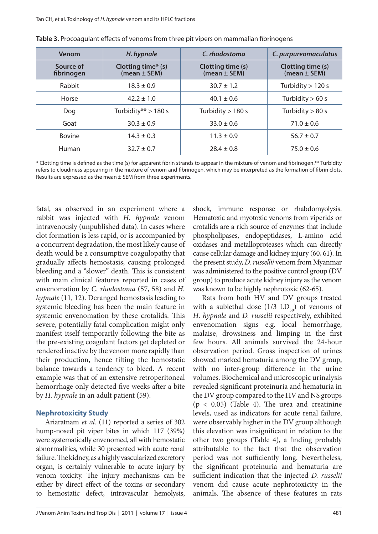| Venom                   | H. hypnale                             | C. rhodostoma                         | C. purpureomaculatus                  |
|-------------------------|----------------------------------------|---------------------------------------|---------------------------------------|
| Source of<br>fibrinogen | Clotting time* (s)<br>$(mean \pm SEM)$ | Clotting time (s)<br>$(mean \pm SEM)$ | Clotting time (s)<br>$(mean \pm SEM)$ |
| Rabbit                  | $18.3 \pm 0.9$                         | $30.7 + 1.2$                          | Turbidity $> 120$ s                   |
| Horse                   | $42.2 + 1.0$                           | $40.1 + 0.6$                          | Turbidity $> 60 s$                    |
| Dog                     | Turbidity** $> 180$ s                  | Turbidity $> 180$ s                   | Turbidity $> 80$ s                    |
| Goat                    | $30.3 \pm 0.9$                         | $33.0 \pm 0.6$                        | $71.0 \pm 0.6$                        |
| <b>Bovine</b>           | $14.3 \pm 0.3$                         | $11.3 \pm 0.9$                        | $56.7 \pm 0.7$                        |
| <b>Human</b>            | $32.7 \pm 0.7$                         | $28.4 \pm 0.8$                        | $75.0 \pm 0.6$                        |

|  | Table 3. Procoagulant effects of venoms from three pit vipers on mammalian fibrinogens |
|--|----------------------------------------------------------------------------------------|
|  |                                                                                        |

\* Clotting time is defined as the time (s) for apparent fibrin strands to appear in the mixture of venom and fibrinogen.\*\* Turbidity refers to cloudiness appearing in the mixture of venom and fibrinogen, which may be interpreted as the formation of fibrin clots. Results are expressed as the mean ± SEM from three experiments.

fatal, as observed in an experiment where a rabbit was injected with *H. hypnale* venom intravenously (unpublished data). In cases where clot formation is less rapid, or is accompanied by a concurrent degradation, the most likely cause of death would be a consumptive coagulopathy that gradually affects hemostasis, causing prolonged bleeding and a "slower" death. This is consistent with main clinical features reported in cases of envenomation by *C. rhodostoma* (57, 58) and *H. hypnale* (11, 12). Deranged hemostasis leading to systemic bleeding has been the main feature in systemic envenomation by these crotalids. This severe, potentially fatal complication might only manifest itself temporarily following the bite as the pre-existing coagulant factors get depleted or rendered inactive by the venom more rapidly than their production, hence tilting the hemostatic balance towards a tendency to bleed. A recent example was that of an extensive retroperitoneal hemorrhage only detected five weeks after a bite by *H. hypnale* in an adult patient (59).

#### **Nephrotoxicity Study**

Ariaratnam *et al*. (11) reported a series of 302 hump-nosed pit viper bites in which 117 (39%) were systematically envenomed, all with hemostatic abnormalities, while 30 presented with acute renal failure. The kidney, as a highly vascularized excretory organ, is certainly vulnerable to acute injury by venom toxicity. The injury mechanisms can be either by direct effect of the toxins or secondary to hemostatic defect, intravascular hemolysis,

shock, immune response or rhabdomyolysis. Hematoxic and myotoxic venoms from viperids or crotalids are a rich source of enzymes that include phospholipases, endopeptidases, L-amino acid oxidases and metalloproteases which can directly cause cellular damage and kidney injury (60, 61). In the present study, *D. russellii* venom from Myanmar was administered to the positive control group (DV group) to produce acute kidney injury as the venom was known to be highly nephrotoxic (62-65).

Rats from both HV and DV groups treated with a sublethal dose  $(1/3 \text{ LD}_\text{0})$  of venoms of *H. hypnale* and *D. russelii* respectively, exhibited envenomation signs e.g. local hemorrhage, malaise, drowsiness and limping in the first few hours. All animals survived the 24-hour observation period. Gross inspection of urines showed marked hematuria among the DV group, with no inter-group difference in the urine volumes. Biochemical and microscopic urinalysis revealed significant proteinuria and hematuria in the DV group compared to the HV and NS groups  $(p < 0.05)$  (Table 4). The urea and creatinine levels, used as indicators for acute renal failure, were observably higher in the DV group although this elevation was insignificant in relation to the other two groups (Table 4), a finding probably attributable to the fact that the observation period was not sufficiently long. Nevertheless, the significant proteinuria and hematuria are sufficient indication that the injected *D. russelii* venom did cause acute nephrotoxicity in the animals. The absence of these features in rats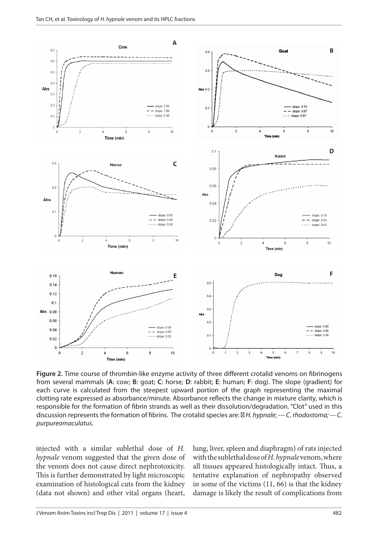

**Figure 2.** Time course of thrombin-like enzyme activity of three different crotalid venoms on fibrinogens from several mammals (**A**: cow; **B**: goat; **C**: horse; **D**: rabbit; **E**: human; **F**: dog). The slope (gradient) for each curve is calculated from the steepest upward portion of the graph representing the maximal clotting rate expressed as absorbance/minute. Absorbance reflects the change in mixture clarity, which is responsible for the formation of fibrin strands as well as their dissolution/degradation. "Clot" used in this discussion represents the formation of fibrins. The crotalid species are: ─ *H. hypnale*; --- *C. rhodostoma; ∙∙∙∙ C. purpureomaculatus*.

injected with a similar sublethal dose of *H. hypnale* venom suggested that the given dose of the venom does not cause direct nephrotoxicity. This is further demonstrated by light microscopic examination of histological cuts from the kidney (data not shown) and other vital organs (heart,

lung, liver, spleen and diaphragm) of rats injected with the sublethal dose of *H. hypnale* venom, where all tissues appeared histologically intact. Thus, a tentative explanation of nephropathy observed in some of the victims (11, 66) is that the kidney damage is likely the result of complications from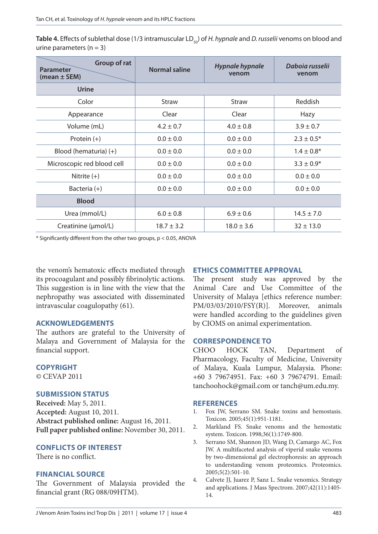Table 4. Effects of sublethal dose (1/3 intramuscular LD<sub>50</sub>) of *H. hypnale* and *D. russelii* venoms on blood and urine parameters  $(n = 3)$ 

| Group of rat<br><b>Parameter</b><br>(mean $\pm$ SEM) | <b>Normal saline</b> | <b>Hypnale hypnale</b><br>venom | Daboja russelii<br>venom |  |
|------------------------------------------------------|----------------------|---------------------------------|--------------------------|--|
| <b>Urine</b>                                         |                      |                                 |                          |  |
| Color                                                | Straw                | Straw                           | <b>Reddish</b>           |  |
| Appearance                                           | Clear                | Clear                           | Hazy                     |  |
| Volume (mL)                                          | $4.2 \pm 0.7$        | $4.0 \pm 0.8$                   | $3.9 \pm 0.7$            |  |
| Protein $(+)$                                        | $0.0 \pm 0.0$        | $0.0 \pm 0.0$                   | $2.3 \pm 0.5^*$          |  |
| Blood (hematuria) $(+)$                              | $0.0 \pm 0.0$        | $0.0 \pm 0.0$                   | $1.4 \pm 0.8^*$          |  |
| Microscopic red blood cell                           | $0.0 \pm 0.0$        | $0.0 \pm 0.0$                   | $3.3 \pm 0.9*$           |  |
| Nitrite $(+)$                                        | $0.0 \pm 0.0$        | $0.0 \pm 0.0$                   | $0.0 \pm 0.0$            |  |
| Bacteria (+)                                         | $0.0 \pm 0.0$        | $0.0 \pm 0.0$                   | $0.0 \pm 0.0$            |  |
| <b>Blood</b>                                         |                      |                                 |                          |  |
| Urea (mmol/L)                                        | $6.0 \pm 0.8$        | $6.9 \pm 0.6$                   | $14.5 \pm 7.0$           |  |
| Creatinine (µmol/L)                                  | $18.7 \pm 3.2$       | $18.0 \pm 3.6$                  | $32 \pm 13.0$            |  |

\* Significantly different from the other two groups, p < 0.05, ANOVA

the venom's hematoxic effects mediated through its procoagulant and possibly fibrinolytic actions. This suggestion is in line with the view that the nephropathy was associated with disseminated intravascular coagulopathy (61).

### **ACKNOWLEDGEMENTS**

The authors are grateful to the University of Malaya and Government of Malaysia for the financial support.

### **COPYRIGHT**

© CEVAP 2011

### **SUBMISSION STATUS**

**Received:** May 5, 2011. **Accepted:** August 10, 2011. **Abstract published online:** August 16, 2011. **Full paper published online:** November 30, 2011.

### **CONFLICTS OF INTEREST**

There is no conflict.

### **FINANCIAL SOURCE**

The Government of Malaysia provided the financial grant (RG 088/09HTM).

### **ETHICS COMMITTEE APPROVAL**

The present study was approved by the Animal Care and Use Committee of the University of Malaya [ethics reference number: PM/03/03/2010/FSY(R)]. Moreover, animals were handled according to the guidelines given by CIOMS on animal experimentation.

### **CORRESPONDENCE TO**

CHOO HOCK TAN, Department of Pharmacology, Faculty of Medicine, University of Malaya, Kuala Lumpur, Malaysia. Phone: +60 3 79674951. Fax: +60 3 79674791. Email: tanchoohock@gmail.com or tanch@um.edu.my.

#### **REFERENCES**

- 1. Fox JW, Serrano SM. Snake toxins and hemostasis. Toxicon. 2005;45(1):951-1181.
- 2. Markland FS. Snake venoms and the hemostatic system. Toxicon. 1998;36(1):1749-800.
- 3. Serrano SM, Shannon JD, Wang D, Camargo AC, Fox JW. A multifaceted analysis of viperid snake venoms by two-dimensional gel electrophoresis: an approach to understanding venom proteomics. Proteomics. 2005;5(2):501-10.
- 4. Calvete JJ, Juarez P, Sanz L. Snake venomics. Strategy and applications. J Mass Spectrom. 2007;42(11):1405- 14.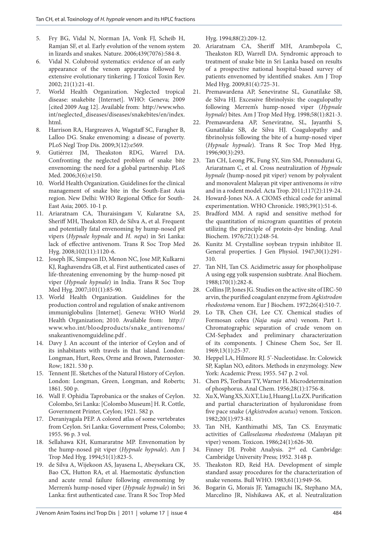- 5. Fry BG, Vidal N, Norman JA, Vonk FJ, Scheib H, Ramjan SF, et al. Early evolution of the venom system in lizards and snakes. Nature. 2006;439(7076):584-8.
- 6. Vidal N. Colubroid systematics: evidence of an early appearance of the venom apparatus followed by extensive evolutionary tinkering. J Toxicol Toxin Rev. 2002; 21(1):21-41.
- 7. World Health Organization. Neglected tropical disease: snakebite [Internet]. WHO: Geneva; 2009 [cited 2009 Aug 12]. Available from: http://www.who. int/neglected\_diseases/diseases/snakebites/en/index. html.
- 8. Harrison RA, Hargreaves A, Wagstaff SC, Faragher B, Lalloo DG. Snake envenoming: a disease of poverty. PLoS Negl Trop Dis. 2009;3(12):e569.
- 9. Gutiérrez JM, Theakston RDG, Warrel DA. Confronting the neglected problem of snake bite envenoming: the need for a global partnership. PLoS Med. 2006;3(6):e150.
- 10. World Health Organization. Guidelines for the clinical management of snake bite in the South-East Asia region. New Delhi: WHO Regional Office for South-East Asia; 2005. 10-1 p.
- 11. Ariaratnam CA, Thuraisingam V, Kularatne SA, Sheriff MH, Theakston RD, de Silva A, et al. Frequent and potentially fatal envenoming by hump-nosed pit vipers (*Hypnale hypnale* and *H. nepa*) in Sri Lanka: lack of effective antivenom. Trans R Soc Trop Med Hyg. 2008;102(11):1120-6.
- 12. Joseph JK, Simpson ID, Menon NC, Jose MP, Kulkarni KJ, Raghavendra GB, et al. First authenticated cases of life-threatening envenoming by the hump-nosed pit viper (*Hypnale hypnale*) in India. Trans R Soc Trop Med Hyg. 2007;101(1):85-90.
- 13. World Health Organization. Guidelines for the production control and regulation of snake antivenom immuniglobulins [Internet]. Geneva: WHO World Health Organization; 2010. Available from: http:// www.who.int/bloodproducts/snake\_antivenoms/ snakeantivenomguideline.pdf .
- 14. Davy J. An account of the interior of Ceylon and of its inhabitants with travels in that island. London: Longman, Hurt, Rees, Orme and Brown, Paternoster-Row; 1821. 530 p.
- 15. Tennent JE. Sketches of the Natural History of Ceylon. London: Longman, Green, Longman, and Roberts; 1861. 500 p.
- 16. Wall F. Ophidia Taprobanica or the snakes of Ceylon. Colombo, Sri Lanka: [Colombo Museum] H. R. Cottle, Government Printer, Ceylon; 1921. 582 p.
- 17. Deraniyagala PEP. A colored atlas of some vertebrates from Ceylon. Sri Lanka: Government Press, Colombo; 1955. 96 p. 3 vol.
- 18. Sellahawa KH, Kumararatne MP. Envenomation by the hump-nosed pit viper (*Hypnale hypnale*). Am J Trop Med Hyg. 1994;51(1):823-5.
- 19. de Silva A, Wijekoon AS, Jayasena L, Abeysekara CK, Bao CX, Hutton RA, et al. Haemostatic dysfunction and acute renal failure following envenoming by Merrem's hump-nosed viper (*Hypnale hypnale*) in Sri Lanka: first authenticated case. Trans R Soc Trop Med

Hyg. 1994;88(2):209-12.

- 20. Ariaratnam CA, Sheriff MH, Arambepola C, Theakston RD, Warrell DA. Syndromic approach to treatment of snake bite in Sri Lanka based on results of a prospective national hospital-based survey of patients envenomed by identified snakes. Am J Trop Med Hyg. 2009;81(4):725-31.
- 21. Premawardena AP, Seneviratne SL, Gunatilake SB, de Silva HJ. Excessive fibrinolysis: the coagulopathy following Merrem's hump-nosed viper (*Hypnale hypnale*) bites. Am J Trop Med Hyg. 1998;58(1):821-3.
- 22. Premawardena AP, Seneviratne, SL, Jayanthi S, Gunatilake SB, de Silva HJ. Coagulopathy and fibrinolysis following the bite of a hump-nosed viper (*Hypnale hypnale*). Trans R Soc Trop Med Hyg. 1996;90(3):293.
- 23. Tan CH, Leong PK, Fung SY, Sim SM, Ponnudurai G, Ariaratnam C, et al. Cross neutralization of *Hypnale hypnale* (hump-nosed pit viper) venom by polyvalent and monovalent Malayan pit viper antivenoms *in vitro* and in a rodent model. Acta Trop. 2011;117(2):119-24.
- 24. Howard-Jones NA. A CIOMS ethical code for animal experimentation. WHO Chronicle. 1985;39(1):51-6.
- 25. Bradford MM. A rapid and sensitive method for the quantitation of microgram quantities of protein utilizing the principle of protein-dye binding. Anal Biochem. 1976;72(1):248-54.
- 26. Kunitz M. Crystalline soybean trypsin inhibitor II. General properties. J Gen Physiol. 1947;30(1):291- 310.
- 27. Tan NH, Tan CS. Acidimetric assay for phospholipase A using egg yolk suspension susbtrate. Anal Biochem. 1988;170(1):282-8.
- 28. Collins JP, Jones JG. Studies on the active site of IRC-50 arvin, the purified coagulant enzyme from *Agkistrodon rhodostoma* venom. Eur J Biochem. 1972;26(4):510-7.
- 29. Lo TB, Chen CH, Lee CY. Chemical studies of Formosan cobra (*Naja naja atra*) venom. Part 1. Chromatographic separation of crude venom on CM-Sephadex and preliminary characterization of its components. J Chinese Chem Soc, Ser II. 1969;13(1):25-37.
- 30. Heppel LA, Hilmore RJ. 5'-Nucleotidase. In: Colowick SP, Kaplan NO, editors. Methods in enzymology. New York: Academic Press; 1955. 547 p. 2 vol.
- 31. Chen PS, Toribara TY, Warner H. Microdetermination of phosphorus. Anal Chem. 1956;28(1):1756-8.
- 32. Xu X, Wang XS, Xi XT, Liu J, Huang J, Lu ZX. Purification and partial characterization of hyaluronidase from five pace snake (*Agkistrodon acutus*) venom. Toxicon. 1982;20(1):973-81.
- 33. Tan NH, Kanthimathi MS, Tan CS. Enzymatic activities of *Calloselasma rhodostoma* (Malayan pit viper) venom. Toxicon. 1986;24(1):626-30.
- 34. Finney DJ. Probit Analysis. 2nd ed. Cambridge: Cambridge University Press; 1952. 3148 p.
- 35. Theakston RD, Reid HA. Development of simple standard assay procedures for the characterization of snake venoms. Bull WHO. 1983;61(1):949-56.
- 36. Bogarin G, Morais JF, Yamaguchi IK, Stephano MA, Marcelino JR, Nishikawa AK, et al. Neutralization